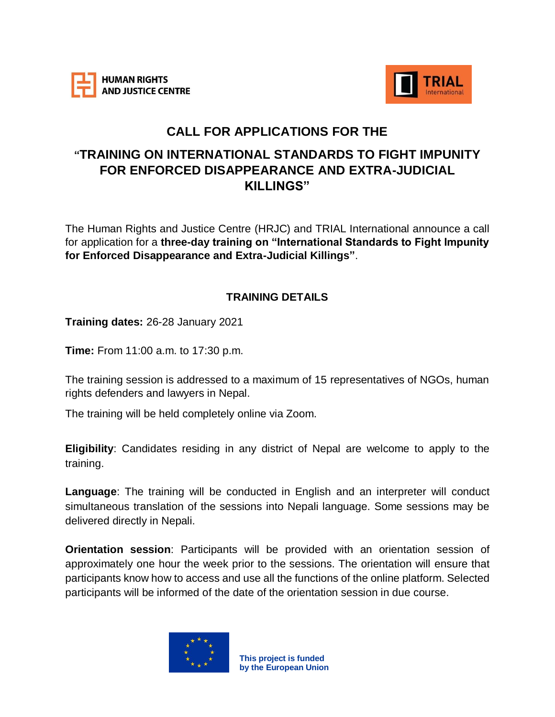



# **CALL FOR APPLICATIONS FOR THE**

# **"TRAINING ON INTERNATIONAL STANDARDS TO FIGHT IMPUNITY FOR ENFORCED DISAPPEARANCE AND EXTRA-JUDICIAL KILLINGS"**

The Human Rights and Justice Centre (HRJC) and TRIAL International announce a call for application for a **three-day training on "International Standards to Fight Impunity for Enforced Disappearance and Extra-Judicial Killings"**.

#### **TRAINING DETAILS**

**Training dates:** 26-28 January 2021

**Time:** From 11:00 a.m. to 17:30 p.m.

The training session is addressed to a maximum of 15 representatives of NGOs, human rights defenders and lawyers in Nepal.

The training will be held completely online via Zoom.

**Eligibility**: Candidates residing in any district of Nepal are welcome to apply to the training.

**Language**: The training will be conducted in English and an interpreter will conduct simultaneous translation of the sessions into Nepali language. Some sessions may be delivered directly in Nepali.

**Orientation session**: Participants will be provided with an orientation session of approximately one hour the week prior to the sessions. The orientation will ensure that participants know how to access and use all the functions of the online platform. Selected participants will be informed of the date of the orientation session in due course.



**This project is funded by the European Union**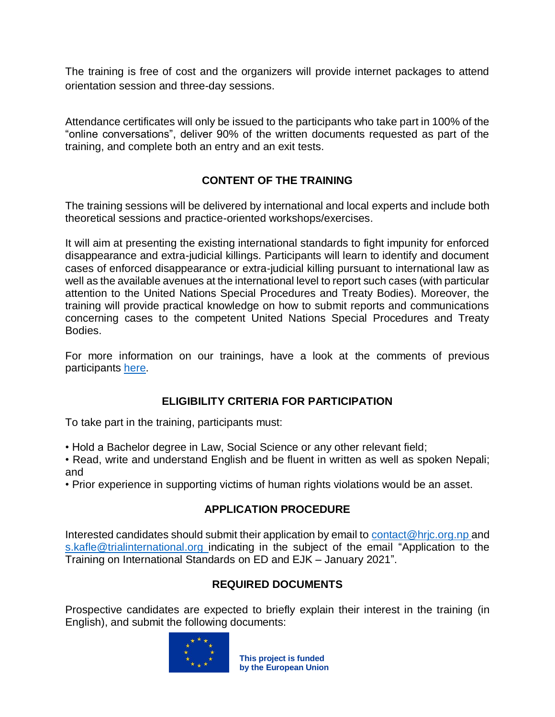The training is free of cost and the organizers will provide internet packages to attend orientation session and three-day sessions.

Attendance certificates will only be issued to the participants who take part in 100% of the "online conversations", deliver 90% of the written documents requested as part of the training, and complete both an entry and an exit tests.

## **CONTENT OF THE TRAINING**

The training sessions will be delivered by international and local experts and include both theoretical sessions and practice-oriented workshops/exercises.

It will aim at presenting the existing international standards to fight impunity for enforced disappearance and extra-judicial killings. Participants will learn to identify and document cases of enforced disappearance or extra-judicial killing pursuant to international law as well as the available avenues at the international level to report such cases (with particular attention to the United Nations Special Procedures and Treaty Bodies). Moreover, the training will provide practical knowledge on how to submit reports and communications concerning cases to the competent United Nations Special Procedures and Treaty Bodies.

For more information on our trainings, have a look at the comments of previous participants [here.](https://trialinternational.org/latest-post/trial-launches-training-series-to-fight-enforced-disappearance-in-nepal/)

#### **ELIGIBILITY CRITERIA FOR PARTICIPATION**

To take part in the training, participants must:

• Hold a Bachelor degree in Law, Social Science or any other relevant field;

• Read, write and understand English and be fluent in written as well as spoken Nepali; and

• Prior experience in supporting victims of human rights violations would be an asset.

#### **APPLICATION PROCEDURE**

Interested candidates should submit their application by email to [contact@hrjc.org.np](mailto:contact@hrjc.org.np) and [s.kafle@trialinternational.org](mailto:s.kafle@trialinternational.org) indicating in the subject of the email "Application to the Training on International Standards on ED and EJK – January 2021".

#### **REQUIRED DOCUMENTS**

Prospective candidates are expected to briefly explain their interest in the training (in English), and submit the following documents:



**This project is funded by the European Union**